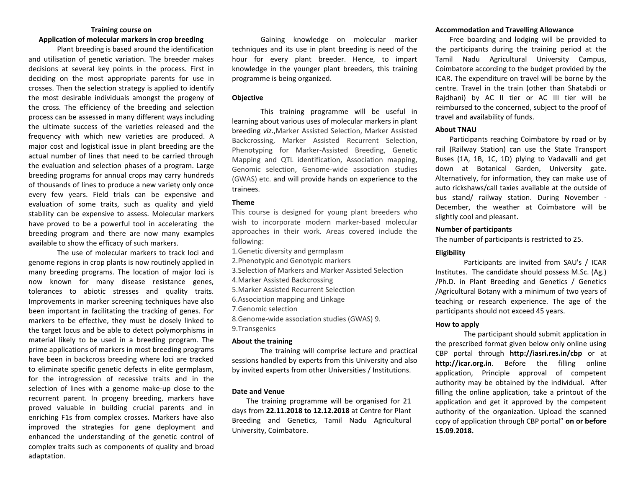#### **Training course on**

### **Application of molecular markers in crop breeding**

Plant breeding is based around the identification and utilisation of genetic variation. The breeder makes decisions at several key points in the process. First in deciding on the most appropriate parents for use in crosses. Then the selection strategy is applied to identify the most desirable individuals amongst the progeny of the cross. The efficiency of the breeding and selection process can be assessed in many different ways including the ultimate success of the varieties released and the frequency with which new varieties are produced. A major cost and logistical issue in plant breeding are the actual number of lines that need to be carried through the evaluation and selection phases of a program. Large breeding programs for annual crops may carry hundreds of thousands of lines to produce a new variety only once every few years. Field trials can be expensive and evaluation of some traits, such as quality and yield stability can be expensive to assess. Molecular markers have proved to be a powerful tool in accelerating the breeding program and there are now many examples available to show the efficacy of such markers.

The use of molecular markers to track loci and genome regions in crop plants is now routinely applied in many breeding programs. The location of major loci is now known for many disease resistance genes, tolerances to abiotic stresses and quality traits. Improvements in marker screening techniques have also been important in facilitating the tracking of genes. For markers to be effective, they must be closely linked to the target locus and be able to detect polymorphisms in material likely to be used in a breeding program. The prime applications of markers in most breeding programs have been in backcross breeding where loci are tracked to eliminate specific genetic defects in elite germplasm, for the introgression of recessive traits and in the selection of lines with a genome make-up close to the recurrent parent. In progeny breeding, markers have proved valuable in building crucial parents and in enriching F1s from complex crosses. Markers have also improved the strategies for gene deployment and enhanced the understanding of the genetic control of complex traits such as components of quality and broad adaptation.

Gaining knowledge on molecular marker techniques and its use in plant breeding is need of the hour for every plant breeder. Hence, to impart knowledge in the younger plant breeders, this training programme is being organized.

#### **Objective**

This training programme will be useful in learning about various uses of molecular markers in plant breeding *viz*.,Marker Assisted Selection, Marker Assisted Backcrossing, Marker Assisted Recurrent Selection, Phenotyping for Marker-Assisted Breeding, Genetic Mapping and QTL identification, Association mapping, Genomic selection, Genome-wide association studies (GWAS) etc. and will provide hands on experience to the trainees.

#### **Theme**

This course is designed for young plant breeders who wish to incorporate modern marker-based molecular approaches in their work. Areas covered include the following:

- 1.Genetic diversity and germplasm
- 2.Phenotypic and Genotypic markers
- 3.Selection of Markers and Marker Assisted Selection
- 4.Marker Assisted Backcrossing
- 5.Marker Assisted Recurrent Selection
- 6.Association mapping and Linkage
- 7.Genomic selection
- 8.Genome-wide association studies (GWAS) 9.

#### **About the training**

9.Transgenics

The training will comprise lecture and practical sessions handled by experts from this University and also by invited experts from other Universities / Institutions.

#### **Date and Venue**

 The training programme will be organised for 21 days from **22.11.2018 to 12.12.2018** at Centre for Plant Breeding and Genetics, Tamil Nadu Agricultural University, Coimbatore.

#### **Accommodation and Travelling Allowance**

Free boarding and lodging will be provided to the participants during the training period at the Tamil Nadu Agricultural University Campus, Coimbatore according to the budget provided by the ICAR. The expenditure on travel will be borne by the centre. Travel in the train (other than Shatabdi or Rajdhani) by AC II tier or AC III tier will be reimbursed to the concerned, subject to the proof of travel and availability of funds.

#### **About TNAU**

Participants reaching Coimbatore by road or by rail (Railway Station) can use the State Transport Buses (1A, 1B, 1C, 1D) plying to Vadavalli and get down at Botanical Garden, University gate. Alternatively, for information, they can make use of auto rickshaws/call taxies available at the outside of bus stand/ railway station. During November - December, the weather at Coimbatore will be slightly cool and pleasant.

#### **Number of participants**

The number of participants is restricted to 25.

#### **Eligibility**

Participants are invited from SAU's / ICAR Institutes. The candidate should possess M.Sc. (Ag.) /Ph.D. in Plant Breeding and Genetics / Genetics /Agricultural Botany with a minimum of two years of teaching or research experience. The age of the participants should not exceed 45 years.

#### **How to apply**

The participant should submit application in the prescribed format given below only online using CBP portal through **http://iasri.res.in/cbp** or at **http://icar.org.in**. Before the filling online application, Principle approval of competent authority may be obtained by the individual. After filling the online application, take a printout of the application and get it approved by the competent authority of the organization. Upload the scanned copy of application through CBP portal" **on or before 15.09.2018.**